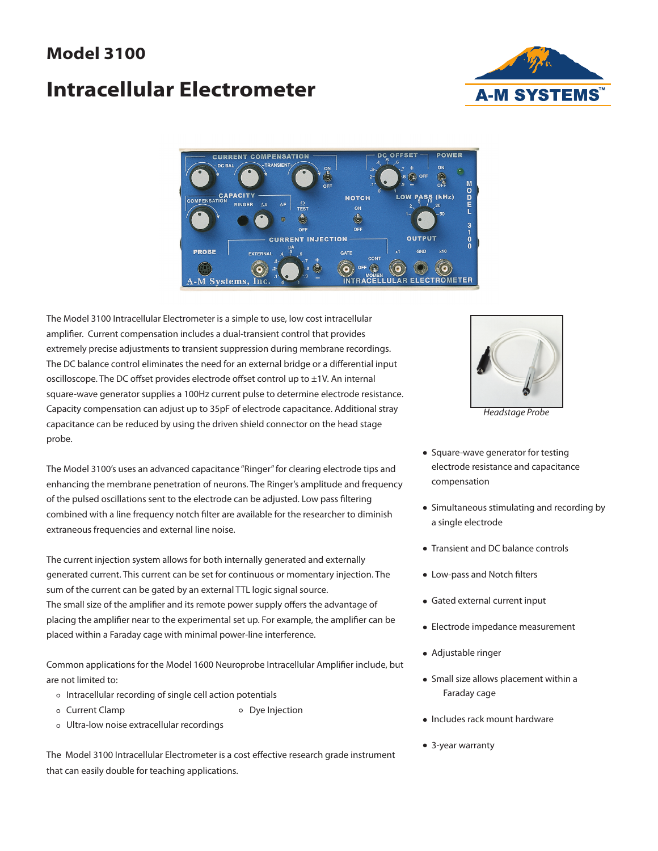## **Model 3100**

# **Intracellular Electrometer**





The Model 3100 Intracellular Electrometer is a simple to use, low cost intracellular amplifier. Current compensation includes a dual-transient control that provides extremely precise adjustments to transient suppression during membrane recordings. The DC balance control eliminates the need for an external bridge or a differential input oscilloscope. The DC offset provides electrode offset control up to  $\pm 1V$ . An internal square-wave generator supplies a 100Hz current pulse to determine electrode resistance. Capacity compensation can adjust up to 35pF of electrode capacitance. Additional stray capacitance can be reduced by using the driven shield connector on the head stage probe.

The Model 3100's uses an advanced capacitance "Ringer" for clearing electrode tips and enhancing the membrane penetration of neurons. The Ringer's amplitude and frequency of the pulsed oscillations sent to the electrode can be adjusted. Low pass filtering combined with a line frequency notch filter are available for the researcher to diminish extraneous frequencies and external line noise.

The current injection system allows for both internally generated and externally generated current. This current can be set for continuous or momentary injection. The sum of the current can be gated by an external TTL logic signal source. The small size of the amplifier and its remote power supply offers the advantage of placing the amplifier near to the experimental set up. For example, the amplifier can be placed within a Faraday cage with minimal power-line interference.

Common applications for the Model 1600 Neuroprobe Intracellular Amplifier include, but are not limited to:

- Intracellular recording of single cell action potentials
- o Current Clamp **Dye Injection**
- 
- Ultra-low noise extracellular recordings

The Model 3100 Intracellular Electrometer is a cost effective research grade instrument that can easily double for teaching applications.



*Headstage Probe* 

- Square-wave generator for testing electrode resistance and capacitance compensation
- Simultaneous stimulating and recording by a single electrode
- Transient and DC balance controls
- Low-pass and Notch filters
- Gated external current input
- Electrode impedance measurement
- Adjustable ringer
- Small size allows placement within a Faraday cage
- Includes rack mount hardware
- 3-year warranty